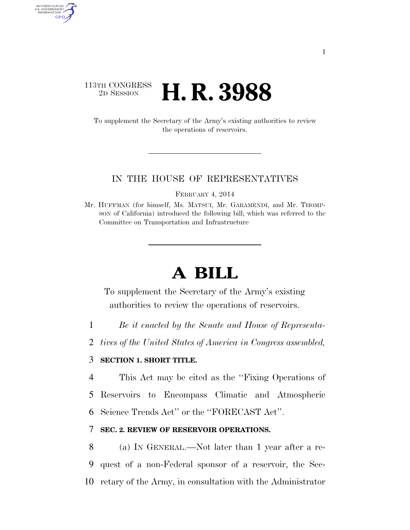## 113TH CONGRESS <sup>2D SESSION</sup> **H. R. 3988**

AUTHENTICATED U.S. GOVERNMENT GPO

> To supplement the Secretary of the Army's existing authorities to review the operations of reservoirs.

#### IN THE HOUSE OF REPRESENTATIVES

FEBRUARY 4, 2014

Mr. HUFFMAN (for himself, Ms. MATSUI, Mr. GARAMENDI, and Mr. THOMP-SON of California) introduced the following bill; which was referred to the Committee on Transportation and Infrastructure

# **A BILL**

To supplement the Secretary of the Army's existing authorities to review the operations of reservoirs.

- 1 *Be it enacted by the Senate and House of Representa-*
- 2 *tives of the United States of America in Congress assembled,*

### 3 **SECTION 1. SHORT TITLE.**

4 This Act may be cited as the ''Fixing Operations of 5 Reservoirs to Encompass Climatic and Atmospheric 6 Science Trends Act'' or the ''FORECAST Act''.

### 7 **SEC. 2. REVIEW OF RESERVOIR OPERATIONS.**

8 (a) IN GENERAL.—Not later than 1 year after a re-9 quest of a non-Federal sponsor of a reservoir, the Sec-10 retary of the Army, in consultation with the Administrator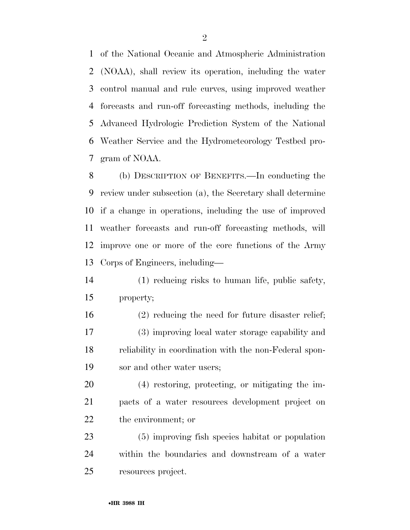of the National Oceanic and Atmospheric Administration (NOAA), shall review its operation, including the water control manual and rule curves, using improved weather forecasts and run-off forecasting methods, including the Advanced Hydrologic Prediction System of the National Weather Service and the Hydrometeorology Testbed pro-gram of NOAA.

 (b) DESCRIPTION OF BENEFITS.—In conducting the review under subsection (a), the Secretary shall determine if a change in operations, including the use of improved weather forecasts and run-off forecasting methods, will improve one or more of the core functions of the Army Corps of Engineers, including—

- (1) reducing risks to human life, public safety, property;
- (2) reducing the need for future disaster relief; (3) improving local water storage capability and reliability in coordination with the non-Federal spon-sor and other water users;

 (4) restoring, protecting, or mitigating the im- pacts of a water resources development project on the environment; or

 (5) improving fish species habitat or population within the boundaries and downstream of a water resources project.